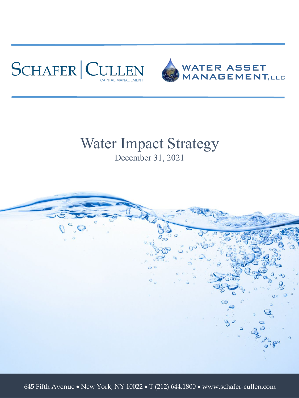



#### Water Impact Strategy December 31, 2021



645 Fifth Avenue • New York, NY 10022 • T (212) 644.1800 • www.schafer-cullen.com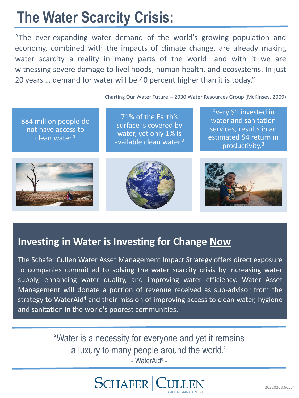## **The Water Scarcity Crisis:**

"The ever-expanding water demand of the world's growing population and economy, combined with the impacts of climate change, are already making water scarcity a reality in many parts of the world—and with it we are witnessing severe damage to livelihoods, human health, and ecosystems. In just 20 years … demand for water will be 40 percent higher than it is today."

Charting Our Water Future -- 2030 Water Resources Group (McKinsey, 2009)

884 million people do not have access to clean water. $1$ 

71% of the Earth's surface is covered by water, yet only 1% is available clean water.<sup>2</sup>

Every \$1 invested in water and sanitation services, results in an estimated \$4 return in productivity.3







#### **Investing in Water is Investing for Change Now**

The Schafer Cullen Water Asset Management Impact Strategy offers direct exposure to companies committed to solving the water scarcity crisis by increasing water supply, enhancing water quality, and improving water efficiency. Water Asset Management will donate a portion of revenue received as sub-advisor from the strategy to WaterAid<sup>4</sup> and their mission of improving access to clean water, hygiene and sanitation in the world's poorest communities.

> "Water is a necessity for everyone and yet it remains a luxury to many people around the world." - WaterAid<sup>5</sup> -

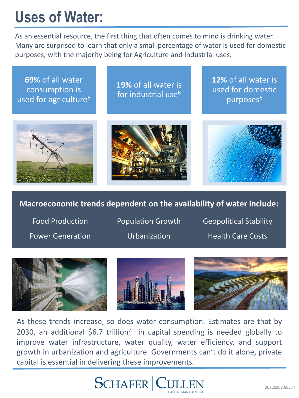## **Uses of Water:**

As an essential resource, the first thing that often comes to mind is drinking water. Many are surprised to learn that only a small percentage of water is used for domestic purposes, with the majority being for Agriculture and Industrial uses.

**69%** of all water consumption is used for agriculture<sup>6</sup>

**19%** of all water is for industrial use<sup>6</sup>

**12%** of all water is used for domestic purposes<sup>6</sup>







#### **Macroeconomic trends dependent on the availability of water include:**

Food Production Power Generation Population Growth Urbanization

Geopolitical Stability Health Care Costs







As these trends increase, so does water consumption. Estimates are that by 2030, an additional \$6.7 trillion<sup>7</sup> in capital spending is needed globally to improve water infrastructure, water quality, water efficiency, and support growth in urbanization and agriculture. Governments can't do it alone, private capital is essential in delivering these improvements.

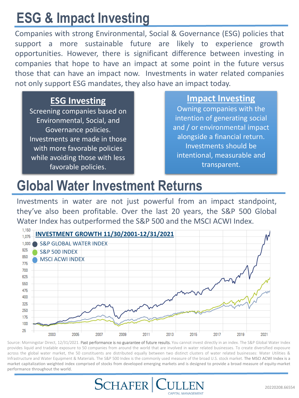## **ESG & Impact Investing**

Companies with strong Environmental, Social & Governance (ESG) policies that support a more sustainable future are likely to experience growth opportunities. However, there is significant difference between investing in companies that hope to have an impact at some point in the future versus those that can have an impact now. Investments in water related companies not only support ESG mandates, they also have an impact today.

#### **ESG Investing**

Screening companies based on Environmental, Social, and Governance policies. Investments are made in those with more favorable policies while avoiding those with less favorable policies.

#### **Impact Investing**

Owning companies with the intention of generating social and / or environmental impact alongside a financial return. Investments should be intentional, measurable and transparent.

#### **Global Water Investment Returns**

Investments in water are not just powerful from an impact standpoint, they've also been profitable. Over the last 20 years, the S&P 500 Global Water Index has outperformed the S&P 500 and the MSCI ACWI Index.



Source: Morningstar Direct, 12/31/2021. Past performance is no guarantee of future results. You cannot invest directly in an index. The S&P Global Water Index provides liquid and tradable exposure to 50 companies from around the world that are involved in water related businesses. To create diversified exposure across the global water market, the 50 constituents are distributed equally between two distinct clusters of water related businesses: Water Utilities & Infrastructure and Water Equipment & Materials. The S&P 500 Index is the commonly used measure of the broad U.S. stock market. The MSCI ACWI Index is a market capitalization weighted index comprised of stocks from developed emerging markets and is designed to provide a broad measure of equity-market performance throughout the world.

CAPITAL MANAGEMENT

**SCHAFER C**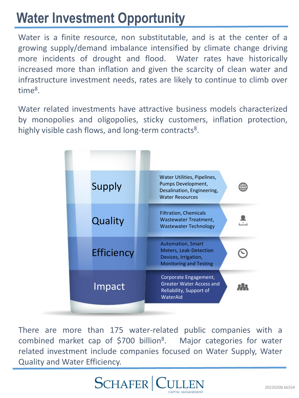### **Water Investment Opportunity**

Water is a finite resource, non substitutable, and is at the center of a growing supply/demand imbalance intensified by climate change driving more incidents of drought and flood. Water rates have historically increased more than inflation and given the scarcity of clean water and infrastructure investment needs, rates are likely to continue to climb over time8.

Water related investments have attractive business models characterized by monopolies and oligopolies, sticky customers, inflation protection, highly visible cash flows, and long-term contracts<sup>8</sup>.

| Water Utilities, Pipelines,<br>Pumps Development,<br>Desalination, Engineering,<br><b>Water Resources</b>          |
|--------------------------------------------------------------------------------------------------------------------|
| <b>Filtration, Chemicals</b><br>Wastewater Treatment,<br><b>Wastewater Technology</b>                              |
| <b>Automation, Smart</b><br><b>Meters, Leak-Detection</b><br>Devices, Irrigation,<br><b>Monitoring and Testing</b> |
| Corporate Engagement,<br><b>Greater Water Access and</b><br>Reliability, Support of<br>WaterAid                    |
|                                                                                                                    |

There are more than 175 water-related public companies with a combined market cap of \$700 billion<sup>8</sup>. Major categories for water related investment include companies focused on Water Supply, Water Quality and Water Efficiency.

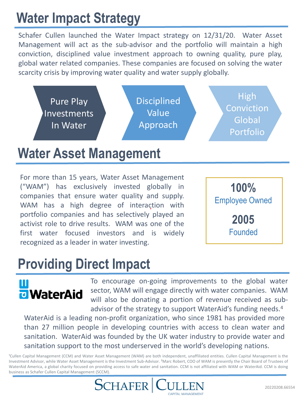## **Water Impact Strategy**

Schafer Cullen launched the Water Impact strategy on 12/31/20. Water Asset Management will act as the sub-advisor and the portfolio will maintain a high conviction, disciplined value investment approach to owning quality, pure play, global water related companies. These companies are focused on solving the water scarcity crisis by improving water quality and water supply globally.



#### **Water Asset Management**

For more than 15 years, Water Asset Management ("WAM") has exclusively invested globally in companies that ensure water quality and supply. WAM has a high degree of interaction with portfolio companies and has selectively played an activist role to drive results. WAM was one of the first water focused investors and is widely recognized as a leader in water investing.



#### **Providing Direct Impact**

# **u** WaterAid

To encourage on-going improvements to the global water sector, WAM will engage directly with water companies. WAM will also be donating a portion of revenue received as subadvisor of the strategy to support WaterAid's funding needs.<sup>4</sup>

WaterAid is a leading non-profit organization, who since 1981 has provided more than 27 million people in developing countries with access to clean water and sanitation. WaterAid was founded by the UK water industry to provide water and sanitation support to the most underserved in the world's developing nations.

<sup>1</sup>Cullen Capital Management (CCM) and Water Asset Management (WAM) are both independent, unaffiliated entities. Cullen Capital Management is the Investment Advisor, while Water Asset Management is the Investment Sub-Advisor. <sup>2</sup>Marc Robert, COO of WAM is presently the Chair Board of Trustees of WaterAid America, a global charity focused on providing access to safe water and sanitation. CCM is not affiliated with WAM or WaterAid. CCM is doing business as Schafer Cullen Capital Management (SCCM).

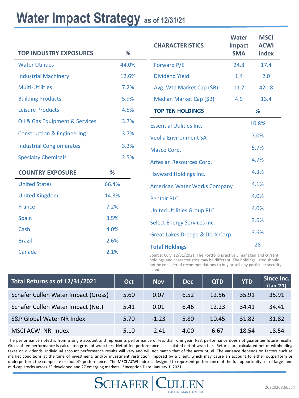#### Water Impact Strategy as of 12/31/21

| <b>TOP INDUSTRY EXPOSURES</b>         | %     | <b>CHARACTERISTICS</b>                                                                         | <b>Water</b><br>Impact<br><b>SMA</b> | <b>MSCI</b><br><b>ACWI</b><br><b>Index</b> |  |  |
|---------------------------------------|-------|------------------------------------------------------------------------------------------------|--------------------------------------|--------------------------------------------|--|--|
| <b>Water Utilities</b>                | 44.0% | Forward P/E                                                                                    | 24.8                                 | 17.4                                       |  |  |
| <b>Industrial Machinery</b>           | 12.6% | <b>Dividend Yield</b>                                                                          | 1.4                                  | 2.0                                        |  |  |
| <b>Multi-Utilities</b>                | 7.2%  | Avg. Wtd Market Cap (\$B)                                                                      | 11.2                                 | 421.8                                      |  |  |
| <b>Building Products</b>              | 5.9%  | Median Market Cap (\$B)                                                                        | 4.9                                  | 13.4                                       |  |  |
| <b>Leisure Products</b>               | 4.5%  | <b>TOP TEN HOLDINGS</b>                                                                        |                                      | %                                          |  |  |
| Oil & Gas Equipment & Services        | 3.7%  | <b>Essential Utilities Inc.</b>                                                                |                                      | 10.8%                                      |  |  |
| <b>Construction &amp; Engineering</b> | 3.7%  | <b>Veolia Environment SA</b>                                                                   |                                      | 7.0%                                       |  |  |
| <b>Industrial Conglomerates</b>       | 3.2%  | Masco Corp.                                                                                    |                                      | 5.7%                                       |  |  |
| <b>Specialty Chemicals</b>            | 2.5%  | Artesian Resources Corp.                                                                       | 4.7%                                 |                                            |  |  |
| <b>COUNTRY EXPOSURE</b>               | %     | <b>Hayward Holdings Inc.</b>                                                                   |                                      | 4.3%                                       |  |  |
| <b>United States</b>                  | 66.4% | <b>American Water Works Company</b>                                                            |                                      | 4.1%                                       |  |  |
| <b>United Kingdom</b>                 | 14.3% | <b>Pentair PLC</b>                                                                             |                                      | 4.0%                                       |  |  |
| <b>France</b>                         | 7.2%  | <b>United Utilities Group PLC</b>                                                              |                                      | 4.0%                                       |  |  |
| Spain                                 | 3.5%  | <b>Select Energy Services Inc.</b>                                                             |                                      | 3.6%                                       |  |  |
| Cash                                  | 4.0%  | Great Lakes Dredge & Dock Corp.                                                                |                                      | 3.6%                                       |  |  |
| <b>Brazil</b>                         | 2.6%  |                                                                                                |                                      | 28                                         |  |  |
| Canada                                | 2.1%  | <b>Total Holdings</b><br>Source: CCM 12/31/2021. The Portfolio is actively managed and current |                                      |                                            |  |  |

holdings and characteristics may be different. The holdings listed should not be considered recommendations to buy or sell any particular security listed.

| Total Returns as of 12/31/2021      | Oct  | <b>Nov</b> | <b>Dec</b> | <b>QTD</b> | <b>YTD</b> | Since Inc.<br>(Jan '21) |
|-------------------------------------|------|------------|------------|------------|------------|-------------------------|
| Schafer Cullen Water Impact (Gross) | 5.60 | 0.07       | 6.52       | 12.56      | 35.91      | 35.91                   |
| Schafer Cullen Water Impact (Net)   | 5.41 | 0.01       | 6.46       | 12.23      | 34.41      | 34.41                   |
| S&P Global Water NR Index           | 5.70 | $-1.23$    | 5.80       | 10.45      | 31.82      | 31.82                   |
| MSCI ACWI NR Index                  | 5.10 | $-2.41$    | 4.00       | 6.67       | 18.54      | 18.54                   |

The performance noted is from a single account and represents performance of less than one year. Past performance does not guarantee future results. Gross of fee performance is calculated gross of wrap fees. Net of fee performance is calculated net of wrap fee. Returns are calculated net of withholding taxes on dividends. Individual account performance results will vary and will not match that of the account, el. The variance depends on factors such as market conditions at the time of investment, and/or investment restriction imposed by a client, which may cause an account to either outperform or underperform the composite or model's performance. The MSCI ACWI index is designed to represent performance of the full opportunity set of large- and mid-cap stocks across 23 developed and 27 emerging markets. \*Inception Date: January 1, 2021.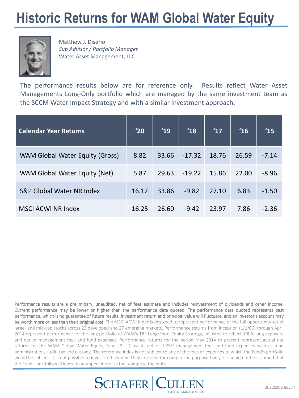#### **Historic Returns for WAM Global Water Equity**



Matthew J. Diserio *Sub Advisor / Portfolio Manager*  Water Asset Management, LLC

The performance results below are for reference only. Results reflect Water Asset Managements Long-Only portfolio which are managed by the same investment team as the SCCM Water Impact Strategy and with a similar investment approach.

| <b>Calendar Year Returns</b>           | '20   | '19   | '18      | '17   | 16    | 15      |
|----------------------------------------|-------|-------|----------|-------|-------|---------|
| <b>WAM Global Water Equity (Gross)</b> | 8.82  | 33.66 | $-17.32$ | 18.76 | 26.59 | $-7.14$ |
| WAM Global Water Equity (Net)          | 5.87  | 29.63 | $-19.22$ | 15.86 | 22.00 | $-8.96$ |
| <b>S&amp;P Global Water NR Index</b>   | 16.12 | 33.86 | $-9.82$  | 27.10 | 6.83  | $-1.50$ |
| <b>MSCI ACWI NR Index</b>              | 16.25 | 26.60 | $-9.42$  | 23.97 | 7.86  | $-2.36$ |

Performance results are a preliminary, unaudited, net of fees estimate and includes reinvestment of dividends and other income. Current performance may be lower or higher than the performance data quoted. The performance data quoted represents past performance, which is no guarantee of future results. Investment return and principal value will fluctuate, and an investor's account may be worth more or less than their original cost. The MSCI ACWI Index is designed to represent performance of the full opportunity set of large- and mid-cap stocks across 23 developed and 27 emerging markets. Performance returns from inception (1/1/06) through April 2014 represent performance for the long portfolio of WAM's TRF Long/Short Equity Strategy, adjusted to reflect 100% long exposure and net of management fees and fund expenses. Performance returns for the period May 2014 to present represent actual net returns for the WAM Global Water Equity Fund LP – Class A, net of 1.25% management fees and fund expenses such as fund administration, audit, tax and custody. The reference index is not subject to any of the fees or expenses to which the Fund's portfolio would be subject. It is not possible to invest in the index. They are used for comparison purposed only. It should not be assumed that the Fund's portfolio will invest in any specific stocks that comprise the index.